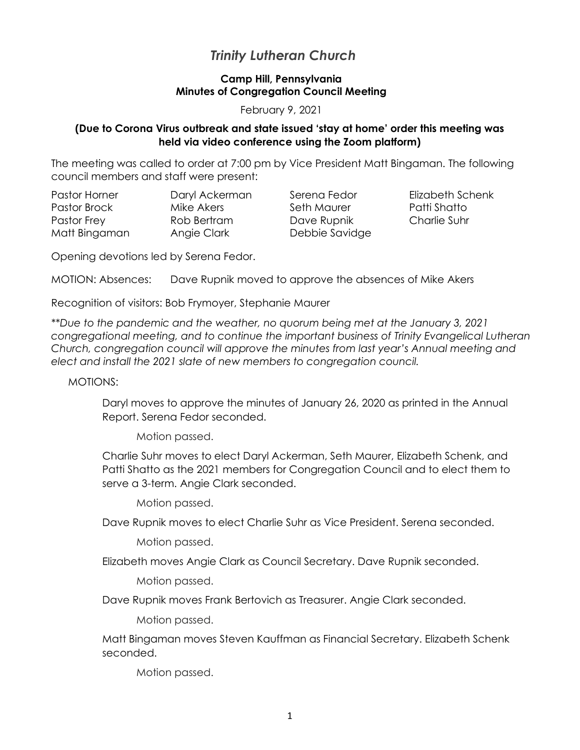# *Trinity Lutheran Church*

## **Camp Hill, Pennsylvania Minutes of Congregation Council Meeting**

February 9, 2021

### **(Due to Corona Virus outbreak and state issued 'stay at home' order this meeting was held via video conference using the Zoom platform)**

Schenk

The meeting was called to order at 7:00 pm by Vice President Matt Bingaman. The following council members and staff were present:

| Pastor Horner | Daryl Ackerman | Serena Fedor   | Elizabeth Scl |
|---------------|----------------|----------------|---------------|
| Pastor Brock  | Mike Akers     | Seth Maurer    | Patti Shatto  |
| Pastor Frey   | Rob Bertram    | Dave Rupnik    | Charlie Suhr  |
| Matt Bingaman | Angie Clark    | Debbie Savidge |               |

Opening devotions led by Serena Fedor.

MOTION: Absences: Dave Rupnik moved to approve the absences of Mike Akers

Recognition of visitors: Bob Frymoyer, Stephanie Maurer

*\*\*Due to the pandemic and the weather, no quorum being met at the January 3, 2021 congregational meeting, and to continue the important business of Trinity Evangelical Lutheran Church, congregation council will approve the minutes from last year's Annual meeting and elect and install the 2021 slate of new members to congregation council.*

MOTIONS:

Daryl moves to approve the minutes of January 26, 2020 as printed in the Annual Report. Serena Fedor seconded.

Motion passed.

Charlie Suhr moves to elect Daryl Ackerman, Seth Maurer, Elizabeth Schenk, and Patti Shatto as the 2021 members for Congregation Council and to elect them to serve a 3-term. Angie Clark seconded.

Motion passed.

Dave Rupnik moves to elect Charlie Suhr as Vice President. Serena seconded.

Motion passed.

Elizabeth moves Angie Clark as Council Secretary. Dave Rupnik seconded.

Motion passed.

Dave Rupnik moves Frank Bertovich as Treasurer. Angie Clark seconded.

Motion passed.

Matt Bingaman moves Steven Kauffman as Financial Secretary. Elizabeth Schenk seconded.

Motion passed.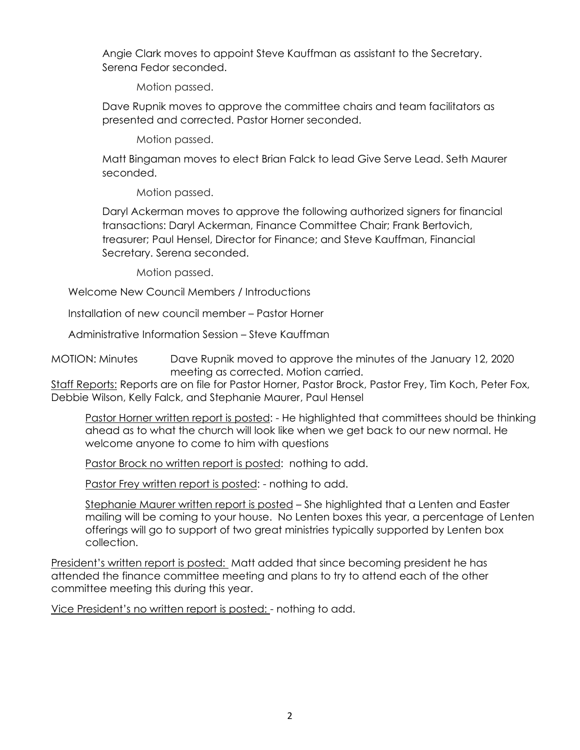Angie Clark moves to appoint Steve Kauffman as assistant to the Secretary. Serena Fedor seconded.

Motion passed.

Dave Rupnik moves to approve the committee chairs and team facilitators as presented and corrected. Pastor Horner seconded.

Motion passed.

Matt Bingaman moves to elect Brian Falck to lead Give Serve Lead. Seth Maurer seconded.

Motion passed.

Daryl Ackerman moves to approve the following authorized signers for financial transactions: Daryl Ackerman, Finance Committee Chair; Frank Bertovich, treasurer; Paul Hensel, Director for Finance; and Steve Kauffman, Financial Secretary. Serena seconded.

Motion passed.

Welcome New Council Members / Introductions

Installation of new council member – Pastor Horner

Administrative Information Session – Steve Kauffman

MOTION: Minutes Dave Rupnik moved to approve the minutes of the January 12, 2020 meeting as corrected. Motion carried.

Staff Reports: Reports are on file for Pastor Horner, Pastor Brock, Pastor Frey, Tim Koch, Peter Fox, Debbie Wilson, Kelly Falck, and Stephanie Maurer, Paul Hensel

Pastor Horner written report is posted: - He highlighted that committees should be thinking ahead as to what the church will look like when we get back to our new normal. He welcome anyone to come to him with questions

Pastor Brock no written report is posted: nothing to add.

Pastor Frey written report is posted: - nothing to add.

Stephanie Maurer written report is posted - She highlighted that a Lenten and Easter mailing will be coming to your house. No Lenten boxes this year, a percentage of Lenten offerings will go to support of two great ministries typically supported by Lenten box collection.

President's written report is posted: Matt added that since becoming president he has attended the finance committee meeting and plans to try to attend each of the other committee meeting this during this year.

Vice President's no written report is posted: - nothing to add.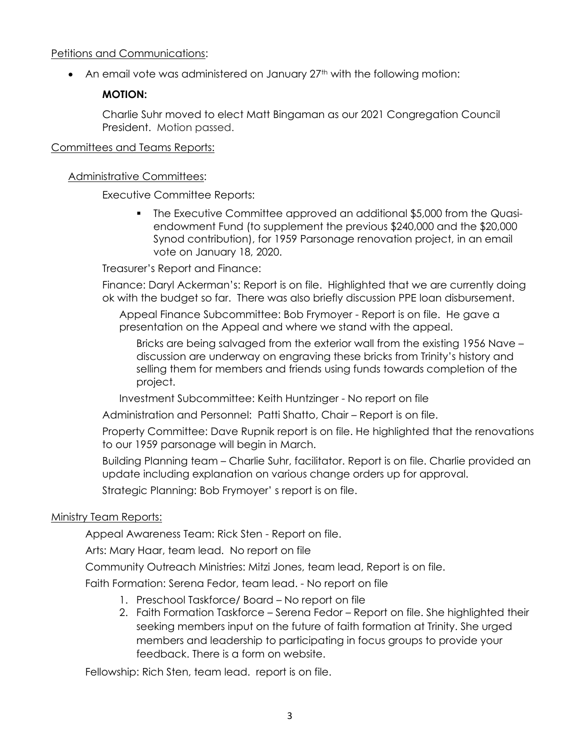### Petitions and Communications:

• An email vote was administered on January 27<sup>th</sup> with the following motion:

## **MOTION:**

Charlie Suhr moved to elect Matt Bingaman as our 2021 Congregation Council President. Motion passed.

### Committees and Teams Reports:

## Administrative Committees:

Executive Committee Reports:

The Executive Committee approved an additional \$5,000 from the Quasiendowment Fund (to supplement the previous \$240,000 and the \$20,000 Synod contribution), for 1959 Parsonage renovation project, in an email vote on January 18, 2020.

Treasurer's Report and Finance:

Finance: Daryl Ackerman's: Report is on file. Highlighted that we are currently doing ok with the budget so far. There was also briefly discussion PPE loan disbursement.

Appeal Finance Subcommittee: Bob Frymoyer - Report is on file. He gave a presentation on the Appeal and where we stand with the appeal.

Bricks are being salvaged from the exterior wall from the existing 1956 Nave – discussion are underway on engraving these bricks from Trinity's history and selling them for members and friends using funds towards completion of the project.

Investment Subcommittee: Keith Huntzinger - No report on file

Administration and Personnel: Patti Shatto, Chair – Report is on file.

Property Committee: Dave Rupnik report is on file. He highlighted that the renovations to our 1959 parsonage will begin in March.

Building Planning team – Charlie Suhr, facilitator. Report is on file. Charlie provided an update including explanation on various change orders up for approval.

Strategic Planning: Bob Frymoyer' s report is on file.

## Ministry Team Reports:

Appeal Awareness Team: Rick Sten - Report on file.

Arts: Mary Haar, team lead. No report on file

Community Outreach Ministries: Mitzi Jones, team lead, Report is on file.

Faith Formation: Serena Fedor, team lead. - No report on file

- 1. Preschool Taskforce/ Board No report on file
- 2. Faith Formation Taskforce Serena Fedor Report on file. She highlighted their seeking members input on the future of faith formation at Trinity. She urged members and leadership to participating in focus groups to provide your feedback. There is a form on website.

Fellowship: Rich Sten, team lead. report is on file.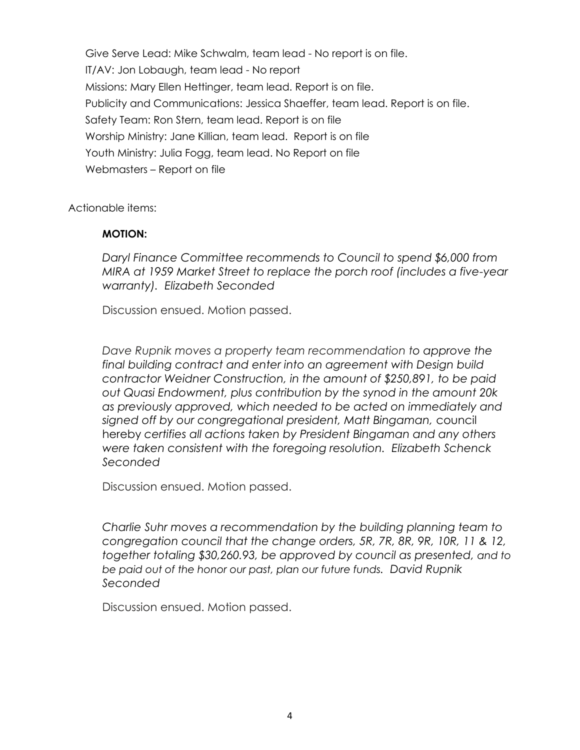Give Serve Lead: Mike Schwalm, team lead - No report is on file. IT/AV: Jon Lobaugh, team lead - No report Missions: Mary Ellen Hettinger, team lead. Report is on file. Publicity and Communications: Jessica Shaeffer, team lead. Report is on file. Safety Team: Ron Stern, team lead. Report is on file Worship Ministry: Jane Killian, team lead. Report is on file Youth Ministry: Julia Fogg, team lead. No Report on file Webmasters – Report on file

Actionable items:

### **MOTION:**

*Daryl Finance Committee recommends to Council to spend \$6,000 from MIRA at 1959 Market Street to replace the porch roof (includes a five-year warranty). Elizabeth Seconded*

Discussion ensued. Motion passed.

*Dave Rupnik moves a property team recommendation to approve the final building contract and enter into an agreement with Design build contractor Weidner Construction, in the amount of \$250,891, to be paid out Quasi Endowment, plus contribution by the synod in the amount 20k as previously approved, which needed to be acted on immediately and signed off by our congregational president, Matt Bingaman,* council hereby *certifies all actions taken by President Bingaman and any others were taken consistent with the foregoing resolution. Elizabeth Schenck Seconded*

Discussion ensued. Motion passed.

*Charlie Suhr moves a recommendation by the building planning team to congregation council that the change orders, 5R, 7R, 8R, 9R, 10R, 11 & 12, together totaling \$30,260.93, be approved by council as presented, and to be paid out of the honor our past, plan our future funds. David Rupnik Seconded*

Discussion ensued. Motion passed.